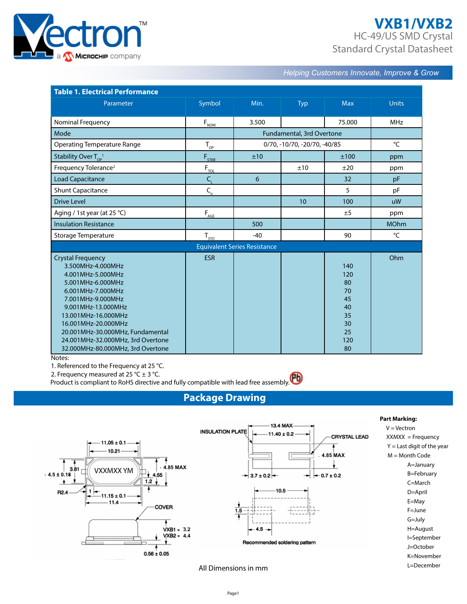

# **VXB1/VXB2** HC-49/US SMD Crystal Standard Crystal Datasheet

*Helping Customers Innovate, Improve & Grow* 

| <b>Table 1. Electrical Performance</b>                                                                                                                                                                                                                                                                              |                              |                                     |                              |                                                                   |              |  |
|---------------------------------------------------------------------------------------------------------------------------------------------------------------------------------------------------------------------------------------------------------------------------------------------------------------------|------------------------------|-------------------------------------|------------------------------|-------------------------------------------------------------------|--------------|--|
| Parameter                                                                                                                                                                                                                                                                                                           | Symbol                       | Min.                                | Typ                          | <b>Max</b>                                                        | <b>Units</b> |  |
| Nominal Frequency                                                                                                                                                                                                                                                                                                   | $F_{\underline{NOM}}$        | 3.500                               |                              | 75.000                                                            | <b>MHz</b>   |  |
| Mode                                                                                                                                                                                                                                                                                                                |                              |                                     | Fundamental, 3rd Overtone    |                                                                   |              |  |
| <b>Operating Temperature Range</b>                                                                                                                                                                                                                                                                                  | $T_{\rm OP}$                 |                                     | 0/70, -10/70, -20/70, -40/85 |                                                                   | $\mathrm{C}$ |  |
| Stability Over $T_{\text{OP}}^{-1}$                                                                                                                                                                                                                                                                                 | F <sub>STAB</sub>            | ±10                                 |                              | ±100                                                              | ppm          |  |
| Frequency Tolerance <sup>2</sup>                                                                                                                                                                                                                                                                                    | $F_{\underline{\text{tol}}}$ |                                     | ±10                          | ±20                                                               | ppm          |  |
| <b>Load Capacitance</b>                                                                                                                                                                                                                                                                                             | $C_{1}$                      | 6                                   |                              | 32                                                                | pF           |  |
| <b>Shunt Capacitance</b>                                                                                                                                                                                                                                                                                            | $C_{\rm o}$                  |                                     |                              | 5                                                                 | pF           |  |
| <b>Drive Level</b>                                                                                                                                                                                                                                                                                                  |                              |                                     | 10                           | 100                                                               | uW           |  |
| Aging / 1st year (at 25 °C)                                                                                                                                                                                                                                                                                         | $F_{\text{AGE}}$             |                                     |                              | ±5                                                                | ppm          |  |
| <b>Insulation Resistance</b>                                                                                                                                                                                                                                                                                        |                              | 500                                 |                              |                                                                   | <b>MOhm</b>  |  |
| Storage Temperature                                                                                                                                                                                                                                                                                                 | $T_{STO}$                    | $-40$                               |                              | 90                                                                | °C           |  |
|                                                                                                                                                                                                                                                                                                                     |                              | <b>Equivalent Series Resistance</b> |                              |                                                                   |              |  |
| <b>Crystal Frequency</b><br>3.500MHz-4.000MHz<br>4.001MHz-5.000MHz<br>5.001MHz-6.000MHz<br>6.001MHz-7.000MHz<br>7.001MHz-9.000MHz<br>9.001MHz-13.000MHz<br>13.001MHz-16.000MHz<br>16.001MHz-20.000MHz<br>20.001MHz-30.000MHz, Fundamental<br>24.001MHz-32.000MHz, 3rd Overtone<br>32.000MHz-80.000MHz, 3rd Overtone | <b>ESR</b>                   |                                     |                              | 140<br>120<br>80<br>70<br>45<br>40<br>35<br>30<br>25<br>120<br>80 | Ohm          |  |

#### Notes:

1. Referenced to the Frequency at 25 °C.

2. Frequency measured at 25 °C  $\pm$  3 °C.

Product is compliant to RoHS directive and fully compatible with lead free assembly.

## **Package Drawing**



All Dimensions in mm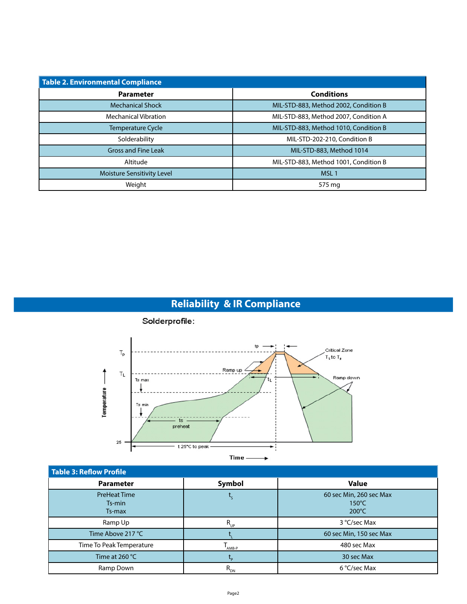| Table 2. Environmental Compliance |                                       |  |  |  |  |  |
|-----------------------------------|---------------------------------------|--|--|--|--|--|
| <b>Parameter</b>                  | <b>Conditions</b>                     |  |  |  |  |  |
| <b>Mechanical Shock</b>           | MIL-STD-883, Method 2002, Condition B |  |  |  |  |  |
| <b>Mechanical Vibration</b>       | MIL-STD-883, Method 2007, Condition A |  |  |  |  |  |
| <b>Temperature Cycle</b>          | MIL-STD-883, Method 1010, Condition B |  |  |  |  |  |
| Solderability                     | MIL-STD-202-210, Condition B          |  |  |  |  |  |
| <b>Gross and Fine Leak</b>        | MIL-STD-883, Method 1014              |  |  |  |  |  |
| Altitude                          | MIL-STD-883, Method 1001, Condition B |  |  |  |  |  |
| Moisture Sensitivity Level        | MSL <sub>1</sub>                      |  |  |  |  |  |
| Weight                            | 575 mg                                |  |  |  |  |  |

# **Reliability & IR Compliance**



### Solderprofile:

| <b>Table 3: Reflow Profile</b>          |             |                                                               |
|-----------------------------------------|-------------|---------------------------------------------------------------|
| <b>Parameter</b>                        | Symbol      | <b>Value</b>                                                  |
| <b>PreHeat Time</b><br>Ts-min<br>Ts-max |             | 60 sec Min, 260 sec Max<br>$150^{\circ}$ C<br>$200^{\circ}$ C |
| Ramp Up                                 | $R_{_{UP}}$ | 3 °C/sec Max                                                  |
| Time Above 217 °C                       |             | 60 sec Min, 150 sec Max                                       |
| Time To Peak Temperature                | AMB-P       | 480 sec Max                                                   |
| Time at $260 °C$                        | <u>-n</u>   | 30 sec Max                                                    |
| Ramp Down                               | $R_{_{DN}}$ | 6 °C/sec Max                                                  |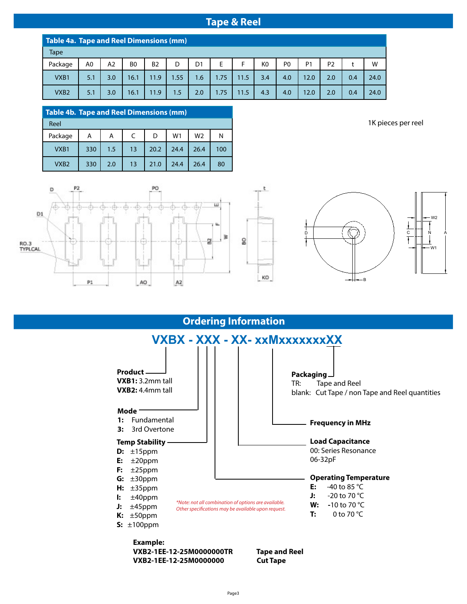### **Tape & Reel**

|                  | Table 4a. Tape and Reel Dimensions (mm) |     |                |           |      |                |      |      |     |                |                |                |     |      |
|------------------|-----------------------------------------|-----|----------------|-----------|------|----------------|------|------|-----|----------------|----------------|----------------|-----|------|
| <b>Tape</b>      |                                         |     |                |           |      |                |      |      |     |                |                |                |     |      |
| Package          | A0                                      | A2  | B <sub>0</sub> | <b>B2</b> |      | D <sub>1</sub> | E    | F.   | K0  | P <sub>0</sub> | P <sub>1</sub> | P <sub>2</sub> |     | W    |
| VXB1             | 5.1                                     | 3.0 | 16.1           | 11.9      | 1.55 | 1.6            | 1.75 | 11.5 | 3.4 | 4.0            | 12.0           | 2.0            | 0.4 | 24.0 |
| VXB <sub>2</sub> | 5.1                                     | 3.0 | 16.1           | 11.9      | 1.5  | 2.0            | 1.75 | 11.5 | 4.3 | 4.0            | 12.0           | 2.0            | 0.4 | 24.0 |

| <b>Table 4b. Tape and Reel Dimensions (mm)</b> |     |     |    |      |                |      |     |
|------------------------------------------------|-----|-----|----|------|----------------|------|-----|
| Reel                                           |     |     |    |      |                |      |     |
| Package                                        | Α   | A   |    | D    | W <sub>1</sub> | W2   | N   |
| VXB1                                           | 330 | 1.5 | 13 | 20.2 | 24.4           | 26.4 | 100 |
| VXB <sub>2</sub>                               | 330 | 2.0 | 13 | 21.0 | 24.4           | 26.4 | 80  |

1K pieces per reel





**Ordering Information**

۴

KO